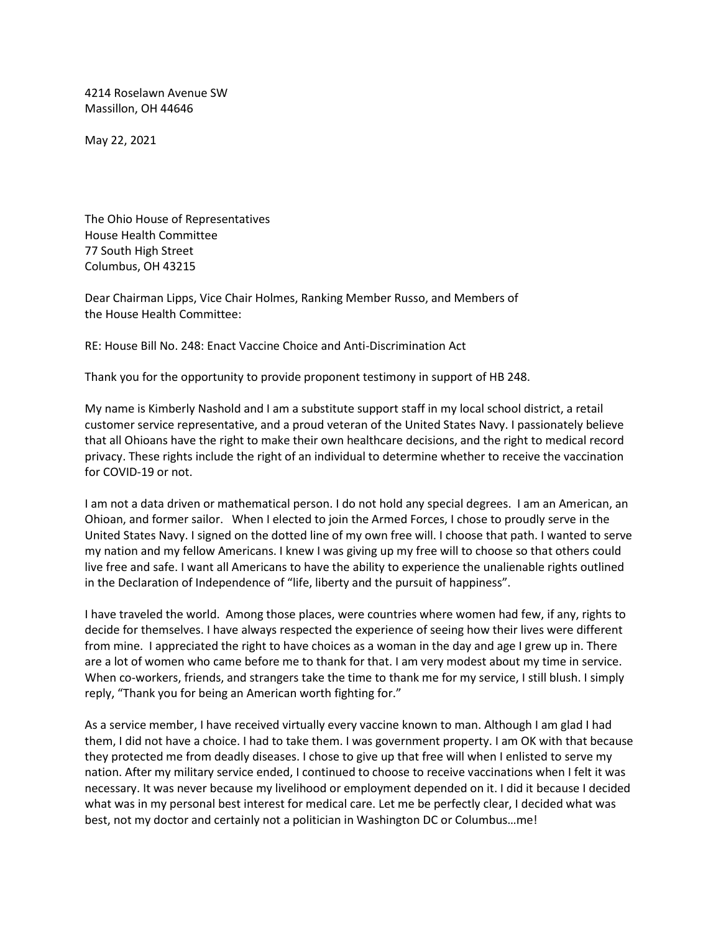4214 Roselawn Avenue SW Massillon, OH 44646

May 22, 2021

The Ohio House of Representatives House Health Committee 77 South High Street Columbus, OH 43215

Dear Chairman Lipps, Vice Chair Holmes, Ranking Member Russo, and Members of the House Health Committee:

RE: House Bill No. 248: Enact Vaccine Choice and Anti-Discrimination Act

Thank you for the opportunity to provide proponent testimony in support of HB 248.

My name is Kimberly Nashold and I am a substitute support staff in my local school district, a retail customer service representative, and a proud veteran of the United States Navy. I passionately believe that all Ohioans have the right to make their own healthcare decisions, and the right to medical record privacy. These rights include the right of an individual to determine whether to receive the vaccination for COVID-19 or not.

I am not a data driven or mathematical person. I do not hold any special degrees. I am an American, an Ohioan, and former sailor. When I elected to join the Armed Forces, I chose to proudly serve in the United States Navy. I signed on the dotted line of my own free will. I choose that path. I wanted to serve my nation and my fellow Americans. I knew I was giving up my free will to choose so that others could live free and safe. I want all Americans to have the ability to experience the unalienable rights outlined in the Declaration of Independence of "life, liberty and the pursuit of happiness".

I have traveled the world. Among those places, were countries where women had few, if any, rights to decide for themselves. I have always respected the experience of seeing how their lives were different from mine. I appreciated the right to have choices as a woman in the day and age I grew up in. There are a lot of women who came before me to thank for that. I am very modest about my time in service. When co-workers, friends, and strangers take the time to thank me for my service, I still blush. I simply reply, "Thank you for being an American worth fighting for."

As a service member, I have received virtually every vaccine known to man. Although I am glad I had them, I did not have a choice. I had to take them. I was government property. I am OK with that because they protected me from deadly diseases. I chose to give up that free will when I enlisted to serve my nation. After my military service ended, I continued to choose to receive vaccinations when I felt it was necessary. It was never because my livelihood or employment depended on it. I did it because I decided what was in my personal best interest for medical care. Let me be perfectly clear, I decided what was best, not my doctor and certainly not a politician in Washington DC or Columbus…me!